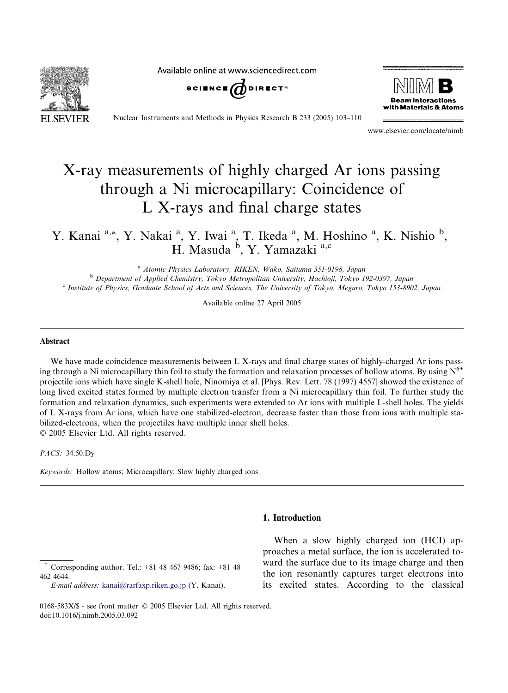**SEVIE** 

Available online at www.sciencedirect.com





Nuclear Instruments and Methods in Physics Research B 233 (2005) 103–110

www.elsevier.com/locate/nimb

# X-ray measurements of highly charged Ar ions passing through a Ni microcapillary: Coincidence of L X-rays and final charge states

Y. Kanai <sup>a,\*</sup>, Y. Nakai <sup>a</sup>, Y. Iwai <sup>a</sup>, T. Ikeda <sup>a</sup>, M. Hoshino <sup>a</sup>, K. Nishio <sup>b</sup>, H. Masuda <sup>b</sup>, Y. Yamazaki a,c

<sup>a</sup> Atomic Physics Laboratory, RIKEN, Wako, Saitama 351-0198, Japan <sup>b</sup> Department of Applied Chemistry, Tokyo Metropolitan University, Hachioji, Tokyo 192-0397, Japan <sup>c</sup> Institute of Physics, Graduate School of Arts and Sciences, The University of Tokyo, Meguro, Tokyo 153-8902, Japan

Available online 27 April 2005

#### Abstract

We have made coincidence measurements between L X-rays and final charge states of highly-charged Ar ions passing through a Ni microcapillary thin foil to study the formation and relaxation processes of hollow atoms. By using  $N<sup>6+</sup>$ projectile ions which have single K-shell hole, Ninomiya et al. [Phys. Rev. Lett. 78 (1997) 4557] showed the existence of long lived excited states formed by multiple electron transfer from a Ni microcapillary thin foil. To further study the formation and relaxation dynamics, such experiments were extended to Ar ions with multiple L-shell holes. The yields of L X-rays from Ar ions, which have one stabilized-electron, decrease faster than those from ions with multiple stabilized-electrons, when the projectiles have multiple inner shell holes. 2005 Elsevier Ltd. All rights reserved.

PACS: 34.50.Dy

Keywords: Hollow atoms; Microcapillary; Slow highly charged ions

# 1. Introduction

Corresponding author. Tel.: +81 48 467 9486; fax: +81 48 462 4644.

E-mail address: [kanai@rarfaxp.riken.go.jp](mailto:kanai@rarfaxp.riken.go.jp) (Y. Kanai).

When a slow highly charged ion (HCI) approaches a metal surface, the ion is accelerated toward the surface due to its image charge and then the ion resonantly captures target electrons into its excited states. According to the classical

<sup>0168-583</sup>X/\$ - see front matter © 2005 Elsevier Ltd. All rights reserved. doi:10.1016/j.nimb.2005.03.092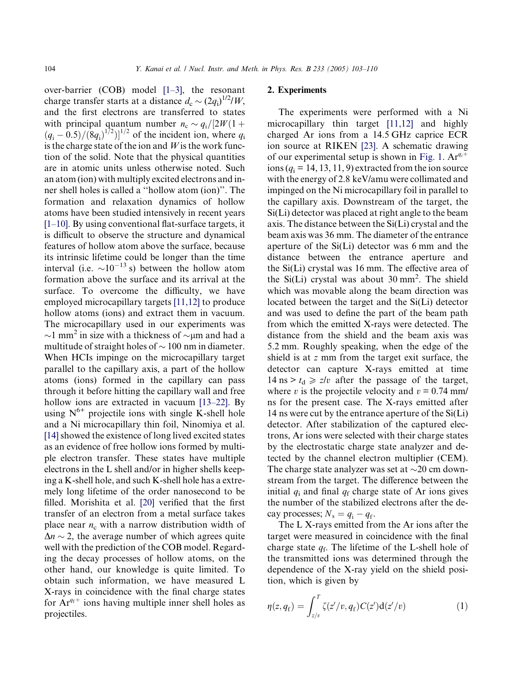over-barrier (COB) model [\[1–3\]](#page-6-0), the resonant charge transfer starts at a distance  $d_c \sim (2q_i)^{1/2}/W$ , and the first electrons are transferred to states with principal quantum number  $n_c \sim q_i/[2W(1 +$  $(q_i - 0.5) / (8q_i)^{1/2}$ ]<sup>1/2</sup> of the incident ion, where  $q_i$ is the charge state of the ion and  $W$  is the work function of the solid. Note that the physical quantities are in atomic units unless otherwise noted. Such an atom (ion) with multiply excited electrons and inner shell holes is called a ''hollow atom (ion)''. The formation and relaxation dynamics of hollow atoms have been studied intensively in recent years  $[1–10]$ . By using conventional flat-surface targets, it is difficult to observe the structure and dynamical features of hollow atom above the surface, because its intrinsic lifetime could be longer than the time interval (i.e.  $\sim 10^{-13}$  s) between the hollow atom formation above the surface and its arrival at the surface. To overcome the difficulty, we have employed microcapillary targets [\[11,12\]](#page-6-0) to produce hollow atoms (ions) and extract them in vacuum. The microcapillary used in our experiments was  $\sim$ 1 mm<sup>2</sup> in size with a thickness of  $\sim$ µm and had a multitude of straight holes of  $\sim 100$  nm in diameter. When HCIs impinge on the microcapillary target parallel to the capillary axis, a part of the hollow atoms (ions) formed in the capillary can pass through it before hitting the capillary wall and free hollow ions are extracted in vacuum [\[13–22\]](#page-6-0). By using  $N^{6+}$  projectile ions with single K-shell hole and a Ni microcapillary thin foil, Ninomiya et al. [\[14\]](#page-6-0) showed the existence of long lived excited states as an evidence of free hollow ions formed by multiple electron transfer. These states have multiple electrons in the L shell and/or in higher shells keeping a K-shell hole, and such K-shell hole has a extremely long lifetime of the order nanosecond to be filled. Morishita et al. [\[20\]](#page-6-0) verified that the first transfer of an electron from a metal surface takes place near  $n_c$  with a narrow distribution width of  $\Delta n \sim 2$ , the average number of which agrees quite well with the prediction of the COB model. Regarding the decay processes of hollow atoms, on the other hand, our knowledge is quite limited. To obtain such information, we have measured L X-rays in coincidence with the final charge states for  $Ar^{q_f+}$  ions having multiple inner shell holes as projectiles.

### 2. Experiments

The experiments were performed with a Ni microcapillary thin target [\[11,12\]](#page-6-0) and highly charged Ar ions from a 14.5 GHz caprice ECR ion source at RIKEN [\[23\].](#page-6-0) A schematic drawing of our experimental setup is shown in [Fig. 1](#page-2-0).  $Ar^{q_i+}$ ions ( $q_i = 14, 13, 11, 9$ ) extracted from the ion source with the energy of 2.8 keV/amu were collimated and impinged on the Ni microcapillary foil in parallel to the capillary axis. Downstream of the target, the Si(Li) detector was placed at right angle to the beam axis. The distance between the Si(Li) crystal and the beam axis was 36 mm. The diameter of the entrance aperture of the Si(Li) detector was 6 mm and the distance between the entrance aperture and the Si(Li) crystal was 16 mm. The effective area of the  $Si(Li)$  crystal was about 30 mm<sup>2</sup>. The shield which was movable along the beam direction was located between the target and the Si(Li) detector and was used to define the part of the beam path from which the emitted X-rays were detected. The distance from the shield and the beam axis was 5.2 mm. Roughly speaking, when the edge of the shield is at z mm from the target exit surface, the detector can capture X-rays emitted at time 14 ns >  $t_d \ge z/v$  after the passage of the target, where v is the projectile velocity and  $v = 0.74$  mm/ ns for the present case. The X-rays emitted after 14 ns were cut by the entrance aperture of the Si(Li) detector. After stabilization of the captured electrons, Ar ions were selected with their charge states by the electrostatic charge state analyzer and detected by the channel electron multiplier (CEM). The charge state analyzer was set at  $\sim$ 20 cm downstream from the target. The difference between the initial  $q_i$  and final  $q_f$  charge state of Ar ions gives the number of the stabilized electrons after the decay processes;  $N_s = q_i - q_f$ .

The L X-rays emitted from the Ar ions after the target were measured in coincidence with the final charge state  $q_f$ . The lifetime of the L-shell hole of the transmitted ions was determined through the dependence of the X-ray yield on the shield position, which is given by

$$
\eta(z, q_{\rm f}) = \int_{z/v}^{T} \zeta(z'/v, q_{\rm f}) C(z') d(z'/v) \tag{1}
$$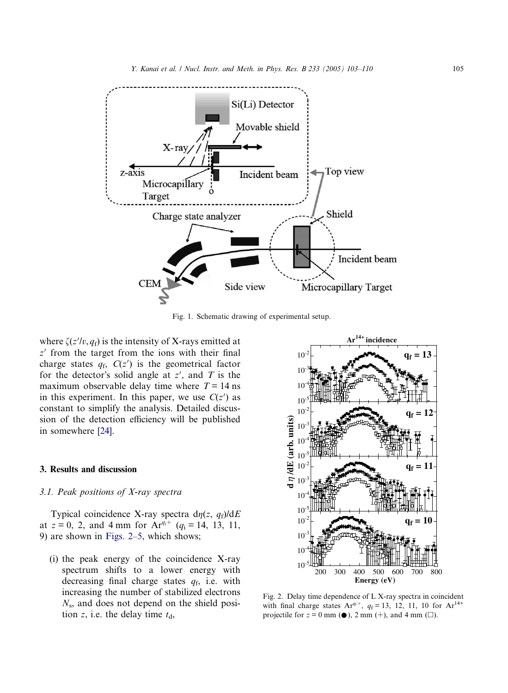<span id="page-2-0"></span>

Fig. 1. Schematic drawing of experimental setup.

where  $\zeta(z'|v, q_f)$  is the intensity of X-rays emitted at  $z'$  from the target from the ions with their final charge states  $q_f$ ,  $C(z')$  is the geometrical factor for the detector's solid angle at  $z'$ , and T is the maximum observable delay time where  $T = 14$  ns in this experiment. In this paper, we use  $C(z')$  as constant to simplify the analysis. Detailed discussion of the detection efficiency will be published in somewhere [\[24\].](#page-7-0)

#### 3. Results and discussion

#### 3.1. Peak positions of X-ray spectra

Typical coincidence X-ray spectra  $d\eta(z, q_f)/dE$ at  $z = 0$ , 2, and 4 mm for  $Ar^{q_1+}$  ( $q_1 = 14$ , 13, 11, 9) are shown in Figs. 2–5, which shows;

(i) the peak energy of the coincidence X-ray spectrum shifts to a lower energy with decreasing final charge states  $q_f$ , i.e. with increasing the number of stabilized electrons  $N_s$ , and does not depend on the shield position z, i.e. the delay time  $t_d$ ,



Fig. 2. Delay time dependence of L X-ray spectra in coincident with final charge states  $Ar^{q_f +}$ ,  $q_f = 13$ , 12, 11, 10 for  $Ar^{14}$ projectile for  $z = 0$  mm ( $\bullet$ ), 2 mm (+), and 4 mm ( $\square$ ).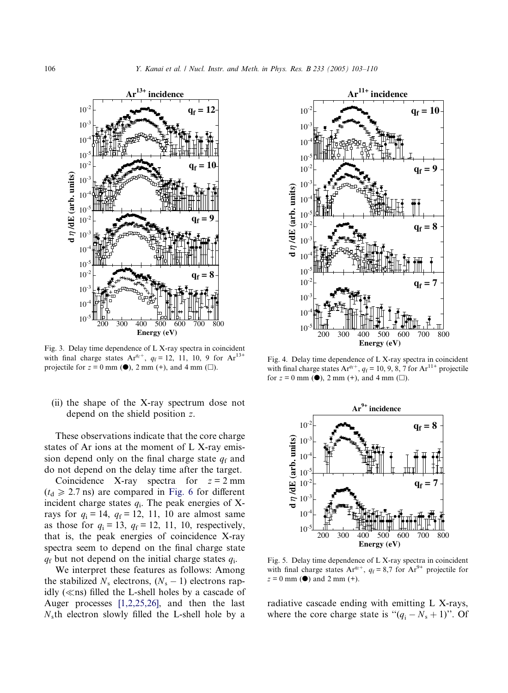

Fig. 3. Delay time dependence of L X-ray spectra in coincident with final charge states  $Ar^{q_f +}$ ,  $q_f = 12$ , 11, 10, 9 for  $Ar^{13+}$ projectile for  $z = 0$  mm ( $\bullet$ ), 2 mm (+), and 4 mm ( $\square$ ).

(ii) the shape of the X-ray spectrum dose not depend on the shield position z.

These observations indicate that the core charge states of Ar ions at the moment of L X-ray emission depend only on the final charge state  $q_f$  and do not depend on the delay time after the target.

Coincidence X-ray spectra for  $z = 2$  mm  $(t<sub>d</sub> \ge 2.7 \text{ ns})$  are compared in [Fig. 6](#page-4-0) for different incident charge states  $q_i$ . The peak energies of Xrays for  $q_i = 14$ ,  $q_f = 12$ , 11, 10 are almost same as those for  $q_i = 13$ ,  $q_f = 12$ , 11, 10, respectively, that is, the peak energies of coincidence X-ray spectra seem to depend on the final charge state  $q_f$  but not depend on the initial charge states  $q_i$ .

We interpret these features as follows: Among the stabilized  $N_s$  electrons,  $(N_s - 1)$  electrons rapidly  $(\ll n s)$  filled the L-shell holes by a cascade of Auger processes [\[1,2,25,26\]](#page-6-0), and then the last  $N<sub>s</sub>$ th electron slowly filled the L-shell hole by a



Fig. 4. Delay time dependence of L X-ray spectra in coincident with final charge states  $Ar^{q_f +}, q_f = 10, 9, 8, 7$  for  $Ar^{11+}$  projectile for  $z = 0$  mm ( $\bullet$ ), 2 mm (+), and 4 mm ( $\square$ ).



Fig. 5. Delay time dependence of L X-ray spectra in coincident with final charge states  $Ar^{q_f +}$ ,  $q_f = 8.7$  for  $Ar^{9+}$  projectile for  $z = 0$  mm ( $\bullet$ ) and 2 mm (+).

radiative cascade ending with emitting L X-rays, where the core charge state is " $(q_i - N_s + 1)$ ". Of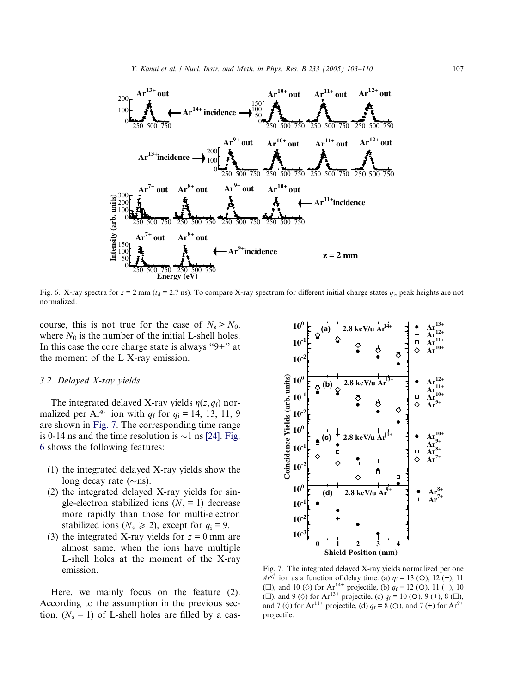<span id="page-4-0"></span>

Fig. 6. X-ray spectra for  $z = 2$  mm ( $t<sub>d</sub> = 2.7$  ns). To compare X-ray spectrum for different initial charge states  $q<sub>i</sub>$ , peak heights are not normalized.

course, this is not true for the case of  $N_s > N_0$ , where  $N_0$  is the number of the initial L-shell holes. In this case the core charge state is always ''9+'' at the moment of the L X-ray emission.

### 3.2. Delayed X-ray yields

The integrated delayed X-ray yields  $\eta(z,q_f)$  normalized per Ar<sup>qt</sup> ion with  $q_f$  for  $q_i = 14, 13, 11, 9$ are shown in Fig. 7. The corresponding time range is 0-14 ns and the time resolution is  $\sim$ 1 ns [\[24\].](#page-7-0) Fig. 6 shows the following features:

- (1) the integrated delayed X-ray yields show the long decay rate  $(\sim$ ns).
- (2) the integrated delayed X-ray yields for single-electron stabilized ions  $(N_s = 1)$  decrease more rapidly than those for multi-electron stabilized ions ( $N_s \ge 2$ ), except for  $q_i = 9$ .
- (3) the integrated X-ray yields for  $z = 0$  mm are almost same, when the ions have multiple L-shell holes at the moment of the X-ray emission.

Here, we mainly focus on the feature (2). According to the assumption in the previous section,  $(N_s - 1)$  of L-shell holes are filled by a cas-



Fig. 7. The integrated delayed X-ray yields normalized per one  $Ar^{q_t^+}$  ion as a function of delay time. (a)  $q_f = 13$  (O), 12 (+), 11 ( $\square$ ), and 10 ( $\diamond$ ) for Ar<sup>14+</sup> projectile, (b)  $q_f = 12$  (O), 11 (+), 10 ( $\square$ ), and 9 ( $\diamond$ ) for Ar<sup>13+</sup> projectile, (c)  $q_f = 10$  (O), 9 (+), 8 ( $\square$ ), and 7 ( $\Diamond$ ) for Ar<sup>11+</sup> projectile, (d)  $q_f = 8$  (O), and 7 (+) for Ar<sup>9+</sup> projectile.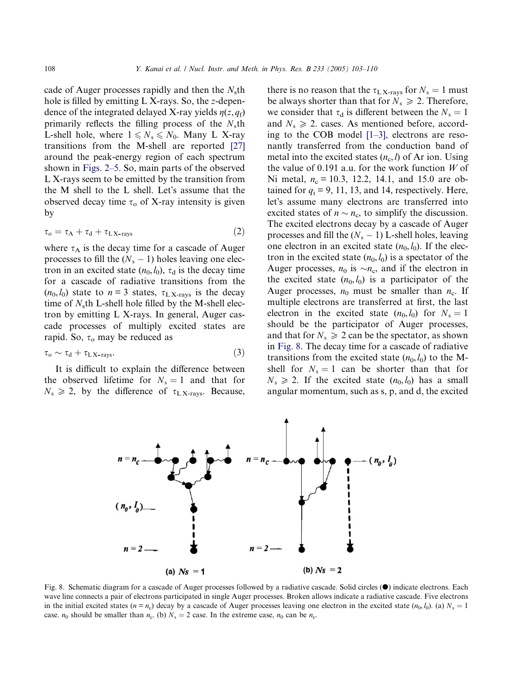cade of Auger processes rapidly and then the  $N<sub>s</sub>$ th hole is filled by emitting L X-rays. So, the z-dependence of the integrated delayed X-ray yields  $\eta(z,q_f)$ primarily reflects the filling process of the  $N<sub>s</sub>$ th L-shell hole, where  $1 \leq N_s \leq N_0$ . Many L X-ray transitions from the M-shell are reported [\[27\]](#page-7-0) around the peak-energy region of each spectrum shown in [Figs. 2–5](#page-2-0). So, main parts of the observed L X-rays seem to be emitted by the transition from the M shell to the L shell. Let's assume that the observed decay time  $\tau_0$  of X-ray intensity is given by

$$
\tau_o = \tau_A + \tau_d + \tau_{LX-rays} \tag{2}
$$

where  $\tau_A$  is the decay time for a cascade of Auger processes to fill the  $(N_s - 1)$  holes leaving one electron in an excited state  $(n_0, l_0)$ ,  $\tau_d$  is the decay time for a cascade of radiative transitions from the  $(n_0, l_0)$  state to  $n = 3$  states,  $\tau_{L X\text{-rays}}$  is the decay time of  $N<sub>s</sub>$ th L-shell hole filled by the M-shell electron by emitting L X-rays. In general, Auger cascade processes of multiply excited states are rapid. So,  $\tau_0$  may be reduced as

$$
\tau_o \sim \tau_d + \tau_{LX-rays}.\tag{3}
$$

It is difficult to explain the difference between the observed lifetime for  $N_s = 1$  and that for  $N_s \ge 2$ , by the difference of  $\tau_{L \text{X-rays}}$ . Because,

there is no reason that the  $\tau_{L X\text{-rays}}$  for  $N_s = 1$  must be always shorter than that for  $N_s \geq 2$ . Therefore, we consider that  $\tau_d$  is different between the  $N_s = 1$ and  $N_s \geq 2$ . cases. As mentioned before, according to the COB model [\[1–3\]](#page-6-0), electrons are resonantly transferred from the conduction band of metal into the excited states  $(n_c, l)$  of Ar ion. Using the value of 0.191 a.u. for the work function  $W$  of Ni metal,  $n_c = 10.3$ , 12.2, 14.1, and 15.0 are obtained for  $q_i = 9, 11, 13,$  and 14, respectively. Here, let's assume many electrons are transferred into excited states of  $n \sim n_c$ , to simplify the discussion. The excited electrons decay by a cascade of Auger processes and fill the  $(N_s - 1)$  L-shell holes, leaving one electron in an excited state  $(n_0, l_0)$ . If the electron in the excited state  $(n_0, l_0)$  is a spectator of the Auger processes,  $n_0$  is  $\sim n_c$ , and if the electron in the excited state  $(n_0, l_0)$  is a participator of the Auger processes,  $n_0$  must be smaller than  $n_c$ . If multiple electrons are transferred at first, the last electron in the excited state  $(n_0, l_0)$  for  $N_s = 1$ should be the participator of Auger processes, and that for  $N_s \geq 2$  can be the spectator, as shown in Fig. 8. The decay time for a cascade of radiative transitions from the excited state  $(n_0, l_0)$  to the Mshell for  $N_s = 1$  can be shorter than that for  $N_s \ge 2$ . If the excited state  $(n_0, l_0)$  has a small angular momentum, such as s, p, and d, the excited



Fig. 8. Schematic diagram for a cascade of Auger processes followed by a radiative cascade. Solid circles ( $\bullet$ ) indicate electrons. Each wave line connects a pair of electrons participated in single Auger processes. Broken allows indicate a radiative cascade. Five electrons in the initial excited states (n = n<sub>c</sub>) decay by a cascade of Auger processes leaving one electron in the excited state (n<sub>0</sub>, l<sub>0</sub>). (a) N<sub>s</sub> = 1 case.  $n_0$  should be smaller than  $n_c$ . (b)  $N_s = 2$  case. In the extreme case,  $n_0$  can be  $n_c$ .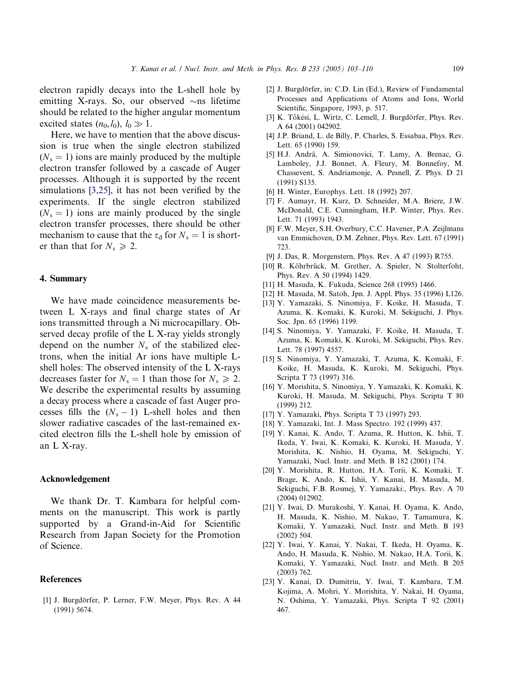<span id="page-6-0"></span>electron rapidly decays into the L-shell hole by emitting X-rays. So, our observed  $\sim$ ns lifetime should be related to the higher angular momentum excited states  $(n_0, l_0)$ ,  $l_0 \gg 1$ .

Here, we have to mention that the above discussion is true when the single electron stabilized  $(N_s = 1)$  ions are mainly produced by the multiple electron transfer followed by a cascade of Auger processes. Although it is supported by the recent simulations [3,25], it has not been verified by the experiments. If the single electron stabilized  $(N_s = 1)$  ions are mainly produced by the single electron transfer processes, there should be other mechanism to cause that the  $\tau_d$  for  $N_s = 1$  is shorter than that for  $N_s \geq 2$ .

#### 4. Summary

We have made coincidence measurements between L X-rays and final charge states of Ar ions transmitted through a Ni microcapillary. Observed decay profile of the L X-ray yields strongly depend on the number  $N_s$  of the stabilized electrons, when the initial Ar ions have multiple Lshell holes: The observed intensity of the L X-rays decreases faster for  $N_s = 1$  than those for  $N_s \ge 2$ . We describe the experimental results by assuming a decay process where a cascade of fast Auger processes fills the  $(N_s - 1)$  L-shell holes and then slower radiative cascades of the last-remained excited electron fills the L-shell hole by emission of an L X-ray.

## Acknowledgement

We thank Dr. T. Kambara for helpful comments on the manuscript. This work is partly supported by a Grand-in-Aid for Scientific Research from Japan Society for the Promotion of Science.

#### References

[1] J. Burgdörfer, P. Lerner, F.W. Meyer, Phys. Rev. A 44 (1991) 5674.

- [2] J. Burgdörfer, in: C.D. Lin (Ed.), Review of Fundamental Processes and Applications of Atoms and Ions, World Scientific, Singapore, 1993, p. 517.
- [3] K. Tőkési, L. Wirtz, C. Lemell, J. Burgdörfer, Phys. Rev. A 64 (2001) 042902.
- [4] J.P. Briand, L. de Billy, P. Charles, S. Essabaa, Phys. Rev. Lett. 65 (1990) 159.
- [5] H.J. Andrä, A. Simionovici, T. Lamy, A. Brenac, G. Lamboley, J.J. Bonnet, A. Fleury, M. Bonnefoy, M. Chassevent, S. Andriamonje, A. Pesnell, Z. Phys. D 21 (1991) S135.
- [6] H. Winter, Europhys. Lett. 18 (1992) 207.
- [7] F. Aumayr, H. Kurz, D. Schneider, M.A. Briere, J.W. McDonald, C.E. Cunningham, H.P. Winter, Phys. Rev. Lett. 71 (1993) 1943.
- [8] F.W. Meyer, S.H. Overbury, C.C. Havener, P.A. Zeijlmans van Emmichoven, D.M. Zehner, Phys. Rev. Lett. 67 (1991) 723.
- [9] J. Das, R. Morgenstern, Phys. Rev. A 47 (1993) R755.
- [10] R. Köhrbrück, M. Grether, A. Spieler, N. Stolterfoht, Phys. Rev. A 50 (1994) 1429.
- [11] H. Masuda, K. Fukuda, Science 268 (1995) 1466.
- [12] H. Masuda, M. Satoh, Jpn. J. Appl. Phys. 35 (1996) L126.
- [13] Y. Yamazaki, S. Ninomiya, F. Koike, H. Masuda, T. Azuma, K. Komaki, K. Kuroki, M. Sekiguchi, J. Phys. Soc. Jpn. 65 (1996) 1199.
- [14] S. Ninomiya, Y. Yamazaki, F. Koike, H. Masuda, T. Azuma, K. Komaki, K. Kuroki, M. Sekiguchi, Phys. Rev. Lett. 78 (1997) 4557.
- [15] S. Ninomiya, Y. Yamazaki, T. Azuma, K. Komaki, F. Koike, H. Masuda, K. Kuroki, M. Sekiguchi, Phys. Scripta T 73 (1997) 316.
- [16] Y. Morishita, S. Ninomiya, Y. Yamazaki, K. Komaki, K. Kuroki, H. Masuda, M. Sekiguchi, Phys. Scripta T 80 (1999) 212.
- [17] Y. Yamazaki, Phys. Scripta T 73 (1997) 293.
- [18] Y. Yamazaki, Int. J. Mass Spectro. 192 (1999) 437.
- [19] Y. Kanai, K. Ando, T. Azuma, R. Hutton, K. Ishii, T. Ikeda, Y. Iwai, K. Komaki, K. Kuroki, H. Masuda, Y. Morishita, K. Nishio, H. Oyama, M. Sekiguchi, Y. Yamazaki, Nucl. Instr. and Meth. B 182 (2001) 174.
- [20] Y. Morishita, R. Hutton, H.A. Torii, K. Komaki, T. Brage, K. Ando, K. Ishii, Y. Kanai, H. Masuda, M. Sekiguchi, F.B. Rosmej, Y. Yamazaki:, Phys. Rev. A 70 (2004) 012902.
- [21] Y. Iwai, D. Murakoshi, Y. Kanai, H. Oyama, K. Ando, H. Masuda, K. Nishio, M. Nakao, T. Tamamura, K. Komaki, Y. Yamazaki, Nucl. Instr. and Meth. B 193 (2002) 504.
- [22] Y. Iwai, Y. Kanai, Y. Nakai, T. Ikeda, H. Oyama, K. Ando, H. Masuda, K. Nishio, M. Nakao, H.A. Torii, K. Komaki, Y. Yamazaki, Nucl. Instr. and Meth. B 205 (2003) 762.
- [23] Y. Kanai, D. Dumitriu, Y. Iwai, T. Kambara, T.M. Kojima, A. Mohri, Y. Morishita, Y. Nakai, H. Oyama, N. Oshima, Y. Yamazaki, Phys. Scripta T 92 (2001) 467.